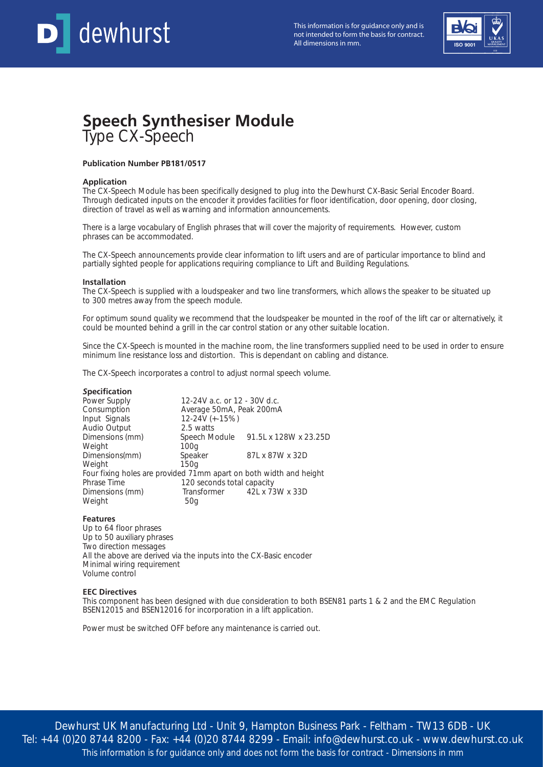

This information is for guidance only and is not intended to form the basis for contract. This information is for guidance only and is<br>not intended to form the basis for contract.<br>All dimensions in mm.



# **Speech Synthesiser Module** Type CX-Speech

## **Publication Number PB181/0517**

## **Application**

The CX-Speech Module has been specifically designed to plug into the Dewhurst CX-Basic Serial Encoder Board. Through dedicated inputs on the encoder it provides facilities for floor identification, door opening, door closing, direction of travel as well as warning and information announcements.

There is a large vocabulary of English phrases that will cover the majority of requirements. However, custom phrases can be accommodated.

The CX-Speech announcements provide clear information to lift users and are of particular importance to blind and partially sighted people for applications requiring compliance to Lift and Building Regulations.

#### **Installation**

The CX-Speech is supplied with a loudspeaker and two line transformers, which allows the speaker to be situated up to 300 metres away from the speech module.

For optimum sound quality we recommend that the loudspeaker be mounted in the roof of the lift car or alternatively, it could be mounted behind a grill in the car control station or any other suitable location.

Since the CX-Speech is mounted in the machine room, the line transformers supplied need to be used in order to ensure minimum line resistance loss and distortion. This is dependant on cabling and distance.

The CX-Speech incorporates a control to adjust normal speech volume.

## *S***pecification**

| Power Supply                                                       | 12-24V a.c. or 12 - 30V d.c. |                                     |
|--------------------------------------------------------------------|------------------------------|-------------------------------------|
| Consumption                                                        | Average 50mA, Peak 200mA     |                                     |
| Input Signals                                                      | 12-24V (+-15%)               |                                     |
| Audio Output                                                       | 2.5 watts                    |                                     |
| Dimensions (mm)                                                    |                              | Speech Module 91.5L x 128W x 23.25D |
| Weight                                                             | 100 <sub>q</sub>             |                                     |
| Dimensions(mm)                                                     | Speaker                      | 87L x 87W x 32D                     |
| Weight                                                             | 150 <sub>q</sub>             |                                     |
| Four fixing holes are provided 71mm apart on both width and height |                              |                                     |
| Phrase Time                                                        | 120 seconds total capacity   |                                     |
| Dimensions (mm)                                                    |                              | Transformer 42L x 73W x 33D         |
| Weight                                                             | 50g                          |                                     |
|                                                                    |                              |                                     |

## **Features**

Up to 64 floor phrases Up to 50 auxiliary phrases Two direction messages All the above are derived via the inputs into the CX-Basic encoder Minimal wiring requirement Volume control

## **EEC Directives**

This component has been designed with due consideration to both BSEN81 parts 1 & 2 and the EMC Regulation BSEN12015 and BSEN12016 for incorporation in a lift application.

Power must be switched OFF before any maintenance is carried out.

Dewhurst UK Manufacturing Ltd - Unit 9, Hampton Business Park - Feltham - TW13 6DB - UK Tel: +44 (0)20 8744 8200 - Fax: +44 (0)20 8744 8299 - Email: info@dewhurst.co.uk - www.dewhurst.co.uk This information is for guidance only and does not form the basis for contract - Dimensions in mm